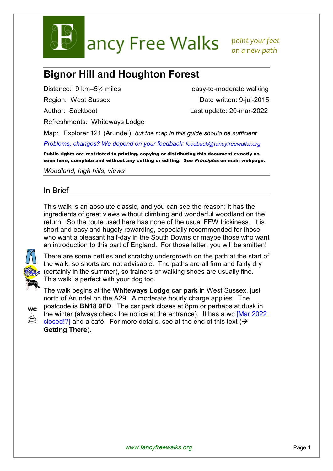

ancy Free Walks point your feet

 *on a new path* 

## **Bignor Hill and Houghton Forest**

Refreshments: Whiteways Lodge

Distance: 9 km=5<sup>1/2</sup> miles easy-to-moderate walking Region: West Sussex Date written: 9-jul-2015 Author: Sackboot Last update: 20-mar-2022

Map: Explorer 121 (Arundel) *but the map in this guide should be sufficient Problems, changes? We depend on your feedback: feedback@fancyfreewalks.org*

Public rights are restricted to printing, copying or distributing this document exactly as seen here, complete and without any cutting or editing. See *Principles* on main webpage.

*Woodland, high hills, views* 

## In Brief

This walk is an absolute classic, and you can see the reason: it has the ingredients of great views without climbing and wonderful woodland on the return. So the route used here has none of the usual FFW trickiness. It is short and easy and hugely rewarding, especially recommended for those who want a pleasant half-day in the South Downs or maybe those who want an introduction to this part of England. For those latter: you will be smitten!



There are some nettles and scratchy undergrowth on the path at the start of the walk, so shorts are not advisable. The paths are all firm and fairly dry (certainly in the summer), so trainers or walking shoes are usually fine. This walk is perfect with your dog too.

The walk begins at the **Whiteways Lodge car park** in West Sussex, just north of Arundel on the A29. A moderate hourly charge applies. The



postcode is **BN18 9FD**. The car park closes at 8pm or perhaps at dusk in the winter (always check the notice at the entrance). It has a wc [Mar 2022 closed!?] and a café. For more details, see at the end of this text ( $\rightarrow$ **Getting There**).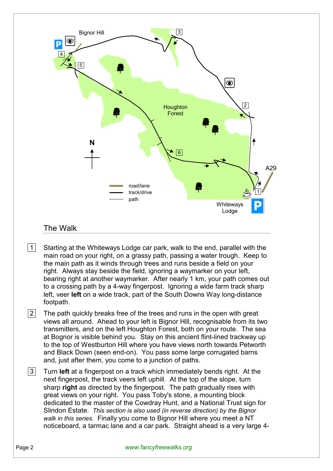

- $|1|$  Starting at the Whiteways Lodge car park, walk to the end, parallel with the main road on your right, on a grassy path, passing a water trough. Keep to the main path as it winds through trees and runs beside a field on your right. Always stay beside the field, ignoring a waymarker on your left, bearing right at another waymarker. After nearly 1 km, your path comes out to a crossing path by a 4-way fingerpost. Ignoring a wide farm track sharp left, veer **left** on a wide track, part of the South Downs Way long-distance footpath.
- $|2|$  The path quickly breaks free of the trees and runs in the open with great views all around. Ahead to your left is Bignor Hill, recognisable from its two transmitters, and on the left Houghton Forest, both on your route. The sea at Bognor is visible behind you. Stay on this ancient flint-lined trackway up to the top of Westburton Hill where you have views north towards Petworth and Black Down (seen end-on). You pass some large corrugated barns and, just after them, you come to a junction of paths.
- 3 Turn **left** at a fingerpost on a track which immediately bends right. At the next fingerpost, the track veers left uphill. At the top of the slope, turn sharp **right** as directed by the fingerpost. The path gradually rises with great views on your right. You pass Toby's stone, a mounting block dedicated to the master of the Cowdray Hunt, and a National Trust sign for Slindon Estate. *This section is also used (in reverse direction) by the Bignor walk in this series.* Finally you come to Bignor Hill where you meet a NT noticeboard, a tarmac lane and a car park. Straight ahead is a very large 4-